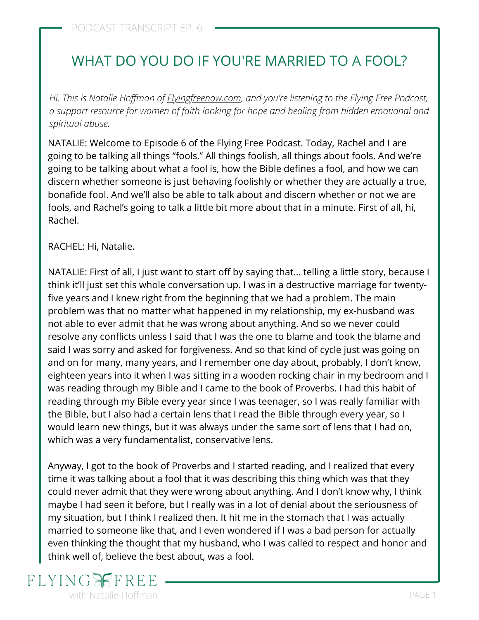# WHAT DO YOU DO IF YOU'RE MARRIED TO A FOOL?

*Hi. This is Natalie Hoffman of [Flyingfreenow.com](http://flyingfreenow.com/), and you're listening to the Flying Free Podcast, a support resource for women of faith looking for hope and healing from hidden emotional and spiritual abuse.*

NATALIE: Welcome to Episode 6 of the Flying Free Podcast. Today, Rachel and I are going to be talking all things "fools." All things foolish, all things about fools. And we're going to be talking about what a fool is, how the Bible defines a fool, and how we can discern whether someone is just behaving foolishly or whether they are actually a true, bonafide fool. And we'll also be able to talk about and discern whether or not we are fools, and Rachel's going to talk a little bit more about that in a minute. First of all, hi, Rachel.

RACHEL: Hi, Natalie.

NATALIE: First of all, I just want to start off by saying that… telling a little story, because I think it'll just set this whole conversation up. I was in a destructive marriage for twentyfive years and I knew right from the beginning that we had a problem. The main [problem was that no matter what happened in my relationship, my ex-husband was](https://www.flyingfreenow.com/sign-of-emotionally-abusive-relationship/) not able to ever admit that he was wrong about anything. And so we never could resolve any conflicts unless I said that I was the one to blame and took the blame and said I was sorry and asked for forgiveness. And so that kind of cycle just was going on and on for many, many years, and I remember one day about, probably, I don't know, eighteen years into it when I was sitting in a wooden rocking chair in my bedroom and I was reading through my Bible and I came to the book of Proverbs. I had this habit of reading through my Bible every year since I was teenager, so I was really familiar with the Bible, but I also had a certain lens that I read the Bible through every year, so I would learn new things, but it was always under the same sort of lens that I had on, which was a very fundamentalist, conservative lens.

Anyway, I got to the book of Proverbs and I started reading, and I realized that every time it was talking about a fool that it was describing this thing which was that they could never admit that they were wrong about anything. And I don't know why, I think maybe I had seen it before, but I really was in a lot of denial about the seriousness of my situation, but I think I realized then. It hit me in the stomach that I was actually married to someone like that, and I even wondered if I was a bad person for actually even thinking the thought that my husband, who I was called to respect and honor and think well of, believe the best about, was a fool.

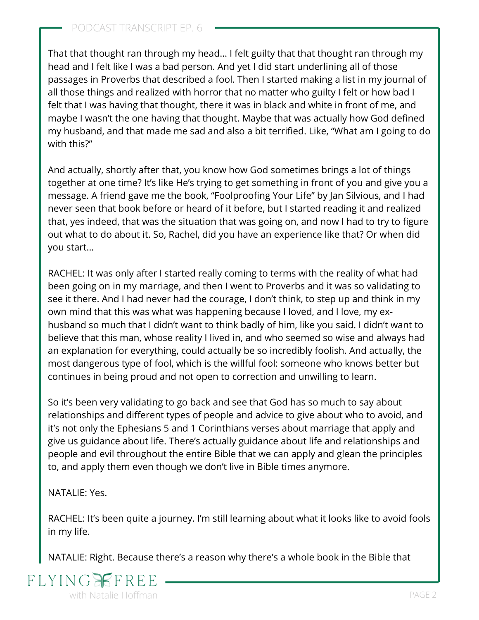That that thought ran through my head… I felt guilty that that thought ran through my head and I felt like I was a bad person. And yet I did start underlining all of those passages in Proverbs that described a fool. Then I started making a list in my journal of all those things and realized with horror that no matter who guilty I felt or how bad I felt that I was having that thought, there it was in black and white in front of me, and maybe I wasn't the one having that thought. Maybe that was actually how God defined my husband, and that made me sad and also a bit terrified. Like, "What am I going to do with this?"

And actually, shortly after that, you know how God sometimes brings a lot of things together at one time? It's like He's trying to get something in front of you and give you a message. A friend gave me the book, "[Foolproofing Your Life](https://www.amazon.com/dp/1578560063/ref=cm_sw_r_as_gl_api_glt_fabc_W121JR58NREQZ9C2T2QP?linkCode=ml1&tag=visionwomanh-20)" by Jan Silvious, and I had never seen that book before or heard of it before, but I started reading it and realized that, yes indeed, that was the situation that was going on, and now I had to try to figure out what to do about it. So, Rachel, did you have an experience like that? Or when did you start…

RACHEL: It was only after I started really coming to terms with the reality of what had been going on in my marriage, and then I went to Proverbs and it was so validating to see it there. And I had never had the courage, I don't think, to step up and think in my own mind that this was what was happening because I loved, and I love, my exhusband so much that I didn't want to think badly of him, like you said. I didn't want to believe that this man, whose reality I lived in, and who seemed so wise and always had an explanation for everything, could actually be so incredibly foolish. And actually, the most dangerous type of fool, which is the willful fool: someone who knows better but continues in being proud and not open to correction and unwilling to learn.

So it's been very validating to go back and see that God has so much to say about relationships and different types of people and advice to give about who to avoid, and it's not only the Ephesians 5 and 1 Corinthians verses about marriage that apply and give us guidance about life. There's actually guidance about life and relationships and people and evil throughout the entire Bible that we can apply and glean the principles to, and apply them even though we don't live in Bible times anymore.

NATALIE: Yes.

RACHEL: It's been quite a journey. I'm still learning about [what it looks like to avoid fools](https://www.flyingfreenow.com/why-foolproofing-your-life-will-save-your-life/) in my life.

NATALIE: Right. Because there's a reason why there's a whole book in the Bible that

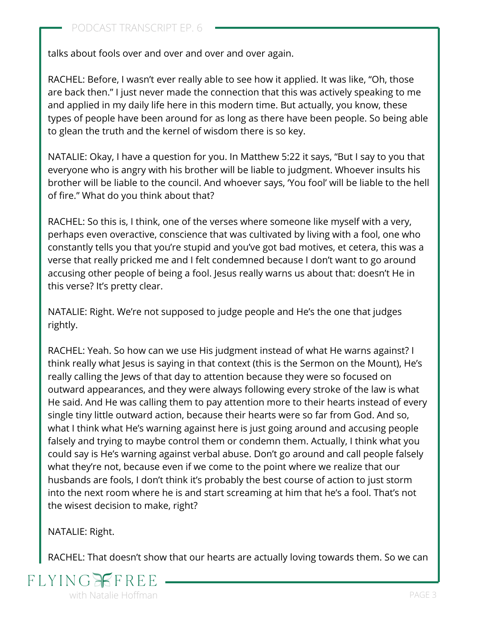talks about fools over and over and over and over again.

RACHEL: Before, I wasn't ever really able to see how it applied. It was like, "Oh, those are back then." I just never made the connection that this was actively speaking to me and applied in my daily life here in this modern time. But actually, you know, these types of people have been around for as long as there have been people. So being able to glean the truth and the kernel of wisdom there is so key.

NATALIE: Okay, I have a question for you. In Matthew 5:22 it says, "But I say to you that everyone who is angry with his brother will be liable to judgment. Whoever insults his brother will be liable to the council. And whoever says, 'You fool' will be liable to the hell of fire." What do you think about that?

RACHEL: So this is, I think, one of the verses where someone like myself with a very, perhaps even overactive, conscience that was cultivated by living with a fool, one who constantly tells you that you're stupid and you've got bad motives, et cetera, this was a verse that really pricked me and I felt condemned because I don't want to go around accusing other people of being a fool. Jesus really warns us about that: doesn't He in this verse? It's pretty clear.

NATALIE: Right. We're not supposed to judge people and He's the one that judges rightly.

RACHEL: Yeah. So how can we use His judgment instead of what He warns against? I think really what Jesus is saying in that context (this is the Sermon on the Mount), He's really calling the Jews of that day to attention because they were so focused on outward appearances, and they were always following every stroke of the law is what He said. And He was calling them to pay attention more to their hearts instead of every single tiny little outward action, because their hearts were so far from God. And so, what I think what He's warning against here is just going around and accusing people falsely and trying to maybe control them or condemn them. Actually, I think what you could say is He's warning against verbal abuse. Don't go around and call people falsely what they're not, because even if we come to the point where we realize that our husbands are fools, I don't think it's probably the best course of action to just storm into the next room where he is and start screaming at him that he's a fool. That's not the wisest decision to make, right?

NATALIE: Right.

RACHEL: That doesn't show that our hearts are actually loving towards them. So we can

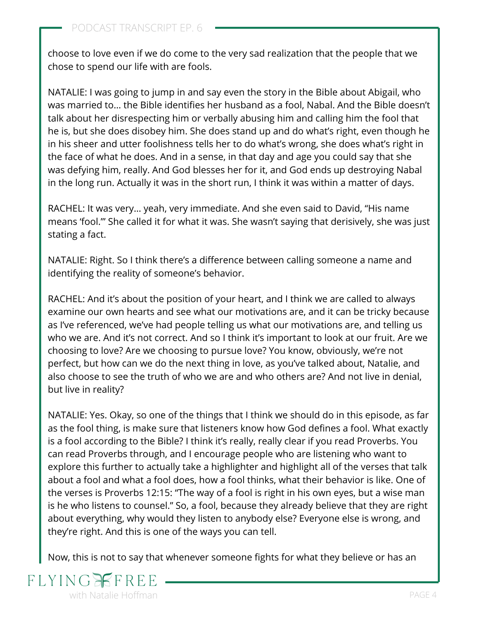choose to love even if we do come to the very sad realization that the people that we chose to spend our life with are fools.

NATALIE: I was going to jump in and say even the story in the Bible about Abigail, who was married to… the Bible identifies her husband as a fool, Nabal. And the Bible doesn't talk about her disrespecting him or verbally abusing him and calling him the fool that he is, but she does disobey him. She does stand up and do what's right, even though he in his sheer and utter foolishness tells her to do what's wrong, she does what's right in the face of what he does. And in a sense, in that day and age you could say that she was defying him, really. And God blesses her for it, and God ends up destroying Nabal in the long run. Actually it was in the short run, I think it was within a matter of days.

RACHEL: It was very… yeah, very immediate. And she even said to David, "His name means 'fool.'" She called it for what it was. She wasn't saying that derisively, she was just stating a fact.

NATALIE: Right. So I think there's a difference between calling someone a name and identifying the reality of someone's behavior.

RACHEL: And it's about the position of your heart, and I think we are called to always examine our own hearts and see what our motivations are, and it can be tricky because as I've referenced, we've had people telling us what our motivations are, and telling us who we are. And it's not correct. And so I think it's important to look at our fruit. Are we choosing to love? Are we choosing to pursue love? You know, obviously, we're not perfect, but how can we do the next thing in love, as you've talked about, Natalie, and also choose to see the truth of who we are and who others are? And not live in denial, but live in reality?

NATALIE: Yes. Okay, so one of the things that I think we should do in this episode, as far as the fool thing, is make sure that listeners know how God defines a fool. What exactly is a fool according to the Bible? I think it's really, really clear if you read Proverbs. You can read Proverbs through, and I encourage people who are listening who want to explore this further to actually take a highlighter and highlight all of the verses that talk about a fool and what a fool does, how a fool thinks, what their behavior is like. One of the verses is Proverbs 12:15: "The way of a fool is right in his own eyes, but a wise man is he who listens to counsel." So, a fool, because they already believe that they are right about everything, why would they listen to anybody else? Everyone else is wrong, and they're right. And this is one of the ways you can tell.

Now, this is not to say that whenever someone fights for what they believe or has an

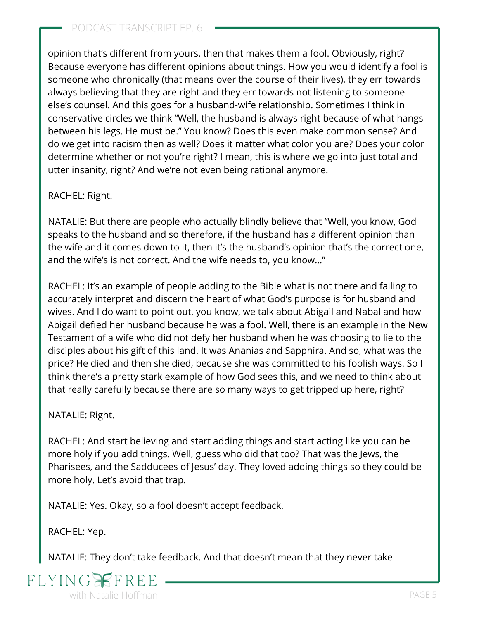opinion that's different from yours, then that makes them a fool. Obviously, right? Because everyone has different opinions about things. How you would identify a fool is someone who chronically (that means over the course of their lives), they err towards always believing that they are right and they err towards not listening to someone else's counsel. And this goes for a husband-wife relationship. Sometimes I think in conservative circles we think "Well, the husband is always right because of what hangs between his legs. He must be." You know? Does this even make common sense? And do we get into racism then as well? Does it matter what color you are? Does your color determine whether or not you're right? I mean, this is where we go into just total and utter insanity, right? And we're not even being rational anymore.

#### RACHEL: Right.

NATALIE: But there are people who actually blindly believe that "Well, you know, God speaks to the husband and so therefore, if the husband has a different opinion than the wife and it comes down to it, [then it's the husband's opinion that's the correct one,](https://www.flyingfreenow.com/break-free-from-oppression-of-patriarchy/) and the wife's is not correct. And the wife needs to, you know…"

RACHEL: It's an example of people adding to the Bible what is not there and failing to accurately interpret and discern the heart of what God's purpose is for husband and wives. And I do want to point out, you know, we talk about Abigail and Nabal and how Abigail defied her husband because he was a fool. Well, there is an example in the New Testament of a wife who did not defy her husband when he was choosing to lie to the disciples about his gift of this land. It was Ananias and Sapphira. And so, what was the price? He died and then she died, because she was committed to his foolish ways. So I think there's a pretty stark example of how God sees this, and we need to think about that really carefully because there are so many ways to get tripped up here, right?

#### NATALIE: Right.

RACHEL: And start believing and start adding things and start acting like you can be more holy if you add things. Well, guess who did that too? That was the Jews, the Pharisees, and the Sadducees of Jesus' day. They loved adding things so they could be more holy. Let's avoid that trap.

NATALIE: Yes. Okay, so a fool doesn't accept feedback.

RACHEL: Yep.

NATALIE: They don't take feedback. And that doesn't mean that they never take

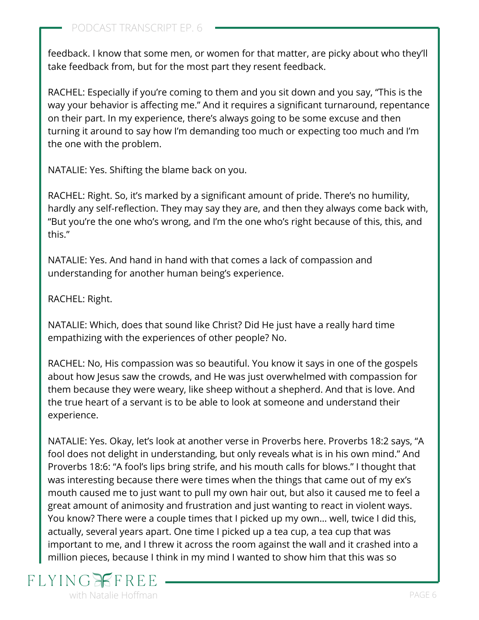feedback. I know that some men, or women for that matter, are picky about who they'll take feedback from, but for the most part they resent feedback.

RACHEL: Especially if you're coming to them and you sit down and you say, "This is the way your behavior is affecting me." And it requires a significant turnaround, repentance on their part. In my experience, there's always going to be some excuse and then turning it around to say how I'm demanding too much or expecting too much and I'm the one with the problem.

NATALIE: Yes. Shifting the blame back on you.

RACHEL: Right. So, it's marked by a significant amount of pride. There's no humility, hardly any self-reflection. They may say they are, and then they always come back with, "But you're the one who's wrong, and I'm the one who's right because of this, this, and this."

NATALIE: Yes. And hand in hand with that comes a lack of compassion and understanding for another human being's experience.

RACHEL: Right.

NATALIE: Which, does that sound like Christ? Did He just have a really hard time empathizing with the experiences of other people? No.

RACHEL: No, His compassion was so beautiful. You know it says in one of the gospels about how Jesus saw the crowds, and He was just overwhelmed with compassion for them because they were weary, like sheep without a shepherd. And that is love. And the true heart of a servant is to be able to look at someone and understand their experience.

NATALIE: Yes. Okay, let's look at another verse in Proverbs here. Proverbs 18:2 says, "A fool does not delight in understanding, but only reveals what is in his own mind." And Proverbs 18:6: "A fool's lips bring strife, and his mouth calls for blows." I thought that was interesting because there were times when the things that came out of my ex's mouth caused me to just want to pull my own hair out, but also it caused me to feel a great amount of animosity and frustration and just wanting to react in violent ways. You know? There were a couple times that I picked up my own… well, twice I did this, actually, several years apart. One time I picked up a tea cup, a tea cup that was important to me, and I threw it across the room against the wall and it crashed into a million pieces, because I think in my mind I wanted to show him that this was so

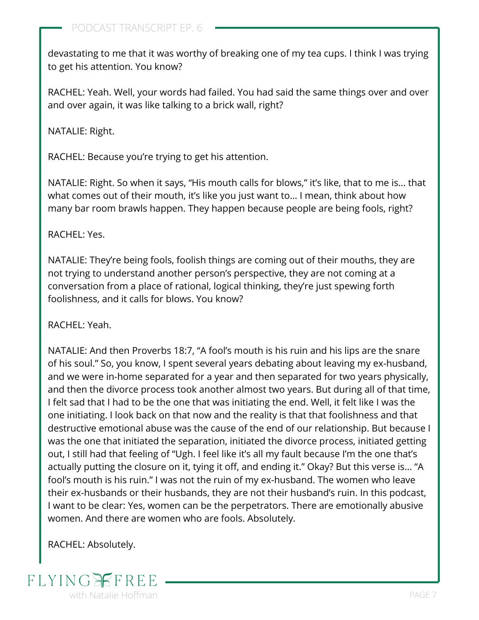devastating to me that it was worthy of breaking one of my tea cups. I think I was trying to get his attention. You know?

RACHEL: Yeah. Well, your words had failed. You had said the same things over and over and over again, it was like talking to a brick wall, right?

NATALIE: Right.

RACHEL: Because you're trying to get his attention.

NATALIE: Right. So when it says, "His mouth calls for blows," it's like, that to me is… that what comes out of their mouth, it's like you just want to… I mean, think about how many bar room brawls happen. They happen because people are being fools, right?

RACHEL: Yes.

NATALIE: They're being fools, foolish things are coming out of their mouths, they are not trying to understand another person's perspective, they are not coming at a conversation from a place of rational, logical thinking, they're just spewing forth foolishness, and it calls for blows. You know?

RACHEL: Yeah.

NATALIE: And then Proverbs 18:7, "A fool's mouth is his ruin and his lips are the snare of his soul." So, you know, I spent several years debating about leaving my ex-husband, and we were in-home separated for a year and then separated for two years physically, and then [the divorce process took another almost two years.](https://www.flyingfreenow.com/65-2/) But during all of that time, I felt sad that I had to be the one that was initiating the end. Well, it felt like I was the one initiating. I look back on that now and the reality is that that foolishness and that destructive emotional abuse was the cause of the end of our relationship. But because I was the one that initiated the separation, initiated the divorce process, initiated getting out, I still had that feeling of "Ugh. I feel like it's all my fault because I'm the one that's actually putting the closure on it, tying it off, and ending it." Okay? But this verse is… "A fool's mouth is his ruin." I was not the ruin of my ex-husband. The women who leave their ex-husbands or their husbands, they are not their husband's ruin. In this podcast, I want to be clear: Yes, women can be the perpetrators. There are emotionally abusive women. And there are women who are fools. Absolutely.

RACHEL: Absolutely.

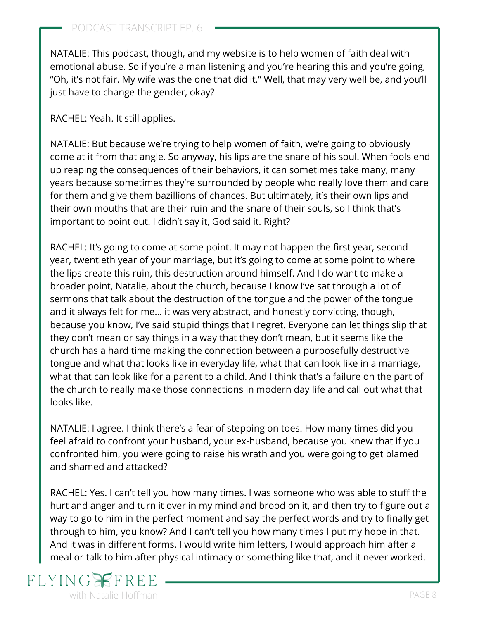NATALIE: This podcast, though, and my website is to help women of faith deal with emotional abuse. So if you're a man listening and you're hearing this and you're going, "Oh, it's not fair. My wife was the one that did it." Well, that may very well be, and you'll just have to change the gender, okay?

RACHEL: Yeah. It still applies.

NATALIE: But because we're trying to help women of faith, we're going to obviously come at it from that angle. So anyway, his lips are the snare of his soul. When fools end up reaping the consequences of their behaviors, it can sometimes take many, many years because sometimes they're surrounded by people who really love them and care for them and give them bazillions of chances. But ultimately, it's their own lips and their own mouths that are their ruin and the snare of their souls, so I think that's important to point out. I didn't say it, God said it. Right?

RACHEL: It's going to come at some point. It may not happen the first year, second year, twentieth year of your marriage, but it's going to come at some point to where the lips create this ruin, this destruction around himself. And I do want to make a broader point, Natalie, about the church, because I know I've sat through a lot of sermons that talk about the destruction of the tongue and the power of the tongue and it always felt for me… it was very abstract, and honestly convicting, though, because you know, I've said stupid things that I regret. Everyone can let things slip that they don't mean or say things in a way that they don't mean, but it seems like the church has a hard time making the connection between a purposefully destructive tongue and what that looks like in everyday life, what that can look like in a marriage, what that can look like for a parent to a child. And I think that's a failure on the part of the church to really make those connections in modern day life and call out what that looks like.

NATALIE: I agree. I think there's a fear of stepping on toes. How many times did you feel afraid to confront your husband, your ex-husband, because you knew that if you confronted him, you were going to raise his wrath and you were going to get blamed and shamed and attacked?

RACHEL: Yes. I can't tell you how many times. I was someone who was able to stuff the hurt and anger and turn it over in my mind and brood on it, and then try to figure out a way to go to him in the perfect moment and say the perfect words and try to finally get through to him, you know? And I can't tell you how many times I put my hope in that. And it was in different forms. I would write him letters, I would approach him after a meal or talk to him after physical intimacy or something like that, and it never worked.

## **FLYING** with Natalie Hoffman **PAGE 8**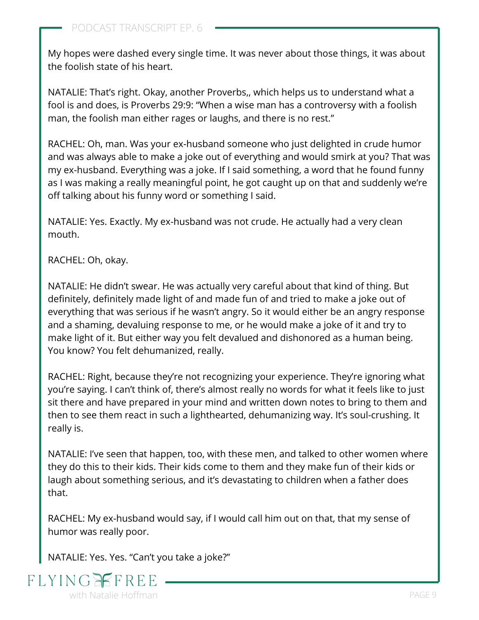My hopes were dashed every single time. It was never about those things, it was about the foolish state of his heart.

NATALIE: That's right. Okay, another Proverbs,, which helps us to understand what a fool is and does, is Proverbs 29:9: "When a wise man has a controversy with a foolish man, the foolish man either rages or laughs, and there is no rest."

RACHEL: Oh, man. Was your ex-husband someone who just delighted in crude humor and was always able to make a joke out of everything and would smirk at you? That was my ex-husband. Everything was a joke. If I said something, a word that he found funny as I was making a really meaningful point, he got caught up on that and suddenly we're off talking about his funny word or something I said.

NATALIE: Yes. Exactly. My ex-husband was not crude. He actually had a very clean mouth.

RACHEL: Oh, okay.

NATALIE: He didn't swear. He was actually very careful about that kind of thing. But definitely, definitely made light of and made fun of and tried to make a joke out of everything that was serious if he wasn't angry. So it would either be an angry response and a shaming, devaluing response to me, or he would make a joke of it and try to make light of it. But either way you felt devalued and dishonored as a human being. You know? You felt dehumanized, really.

RACHEL: Right, because they're not recognizing your experience. They're ignoring what you're saying. I can't think of, there's almost really no words for what it feels like to just sit there and have prepared in your mind and written down notes to bring to them and then to see them react in such a lighthearted, dehumanizing way. It's soul-crushing. It really is.

NATALIE: I've seen that happen, too, with these men, and talked to other women where they do this to their kids. Their kids come to them and they make fun of their kids or laugh about something serious, and [it's devastating to children](https://www.flyingfreenow.com/24-2/) when a father does that.

RACHEL: My ex-husband would say, if I would call him out on that, that my sense of humor was really poor.

NATALIE: Yes. Yes. "Can't you take a joke?"

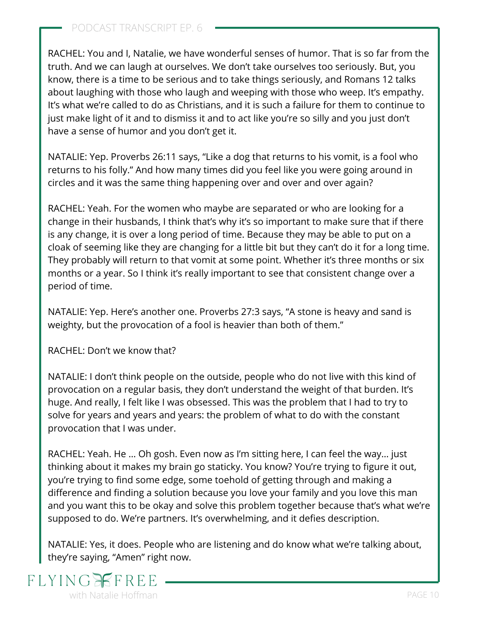RACHEL: You and I, Natalie, we have wonderful senses of humor. That is so far from the truth. And we can laugh at ourselves. We don't take ourselves too seriously. But, you know, there is a time to be serious and to take things seriously, and Romans 12 talks about laughing with those who laugh and weeping with those who weep. It's empathy. It's what we're called to do as Christians, and it is such a failure for them to continue to just make light of it and to dismiss it and to act like you're so silly and you just don't have a sense of humor and you don't get it.

NATALIE: Yep. Proverbs 26:11 says, "Like a dog that returns to his vomit, is a fool who returns to his folly." And how many times did you feel like you were going around in circles and it was the same thing happening over and over and over again?

RACHEL: Yeah. For the women who maybe are separated or who are looking for a change in their husbands, I think that's why it's so important to make sure that if there is any change, it is over a long period of time. Because they may be able to put on a cloak of seeming like they are changing for a little bit but they can't do it for a long time. They probably will return to that vomit at some point. Whether it's three months or six months or a year. So I think it's really important to see that consistent change over a period of time.

NATALIE: Yep. Here's another one. Proverbs 27:3 says, "A stone is heavy and sand is weighty, but the provocation of a fool is heavier than both of them."

RACHEL: Don't we know that?

NATALIE: I don't think people on the outside, people who do not live with this kind of provocation on a regular basis, they don't understand the weight of that burden. It's huge. And really, I felt like I was obsessed. This was the problem that I had to try to solve for years and years and years: the problem of what to do with the constant provocation that I was under.

RACHEL: Yeah. He … Oh gosh. Even now as I'm sitting here, I can feel the way… just thinking about it makes my brain go staticky. You know? You're trying to figure it out, you're trying to find some edge, some toehold of getting through and making a difference and finding a solution because you love your family and you love this man and you want this to be okay and solve this problem together because that's what we're supposed to do. We're partners. It's overwhelming, and it defies description.

NATALIE: Yes, it does. People who are listening and do know what we're talking about, they're saying, "Amen" right now.

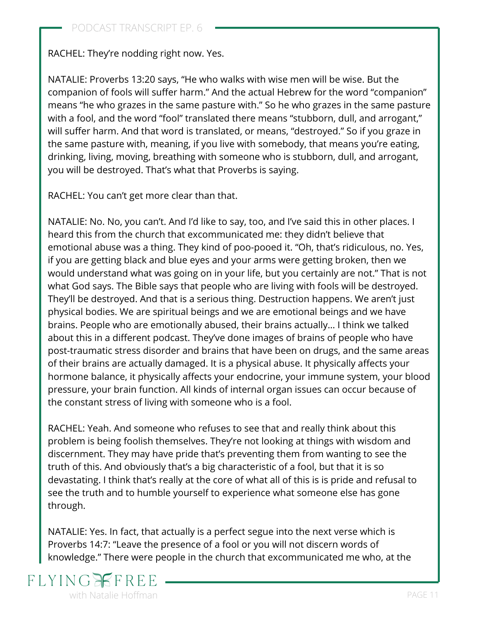RACHEL: They're nodding right now. Yes.

NATALIE: Proverbs 13:20 says, "He who walks with wise men will be wise. But the companion of fools will suffer harm." And the actual Hebrew for the word "companion" means "he who grazes in the same pasture with." So he who grazes in the same pasture with a fool, and the word "fool" translated there means "stubborn, dull, and arrogant," will suffer harm. And that word is translated, or means, "destroyed." So if you graze in the same pasture with, meaning, if you live with somebody, that means you're eating, drinking, living, moving, breathing with someone who is stubborn, dull, and arrogant, you will be destroyed. That's what that Proverbs is saying.

RACHEL: You can't get more clear than that.

NATALIE: No. No, you can't. And I'd like to say, too, and I've said this in other places. I heard this from the church that excommunicated me: they didn't believe that emotional abuse was a thing. They kind of poo-pooed it. "Oh, that's ridiculous, no. Yes, if you are getting black and blue eyes and your arms were getting broken, then we would understand what was going on in your life, but you certainly are not." That is not what God says. The Bible says that people who are living with fools will be destroyed. They'll be destroyed. And that is a serious thing. Destruction happens. We aren't just physical bodies. We are spiritual beings and we are emotional beings and we have brains. People who are emotionally abused, their brains actually… I think we talked about this in a different podcast. They've done images of brains of people who have post-traumatic stress disorder and brains that have been on drugs, and the same areas of their brains are actually damaged. It is a physical abuse. It physically affects your hormone balance, it physically affects your endocrine, your immune system, your blood pressure, your brain function. All kinds of internal organ issues can occur because of the constant stress of living with someone who is a fool.

RACHEL: Yeah. And someone who refuses to see that and really think about this problem is being foolish themselves. They're not looking at things with wisdom and discernment. They may have pride that's preventing them from wanting to see the truth of this. And obviously that's a big characteristic of a fool, but that it is so devastating. I think that's really at the core of what all of this is is pride and refusal to see the truth and to humble yourself to experience what someone else has gone through.

NATALIE: Yes. In fact, that actually is a perfect segue into the next verse which is Proverbs 14:7: "Leave the presence of a fool or you will not discern words of knowledge." There were people in the church that excommunicated me who, at the

# $FI.YIN$ with Natalie Hoffman **PAGE 11**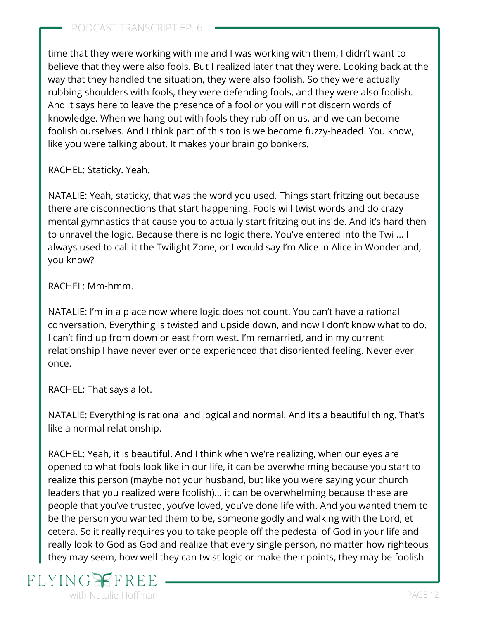time that they were working with me and I was working with them, I didn't want to believe that they were also fools. But I realized later that they were. Looking back at the way that they handled the situation, they were also foolish. So they were actually rubbing shoulders with fools, they were defending fools, and they were also foolish. And it says here to leave the presence of a fool or you will not discern words of knowledge. When we hang out with fools they rub off on us, and we can become foolish ourselves. And I think part of this too is we become fuzzy-headed. You know, like you were talking about. It makes your brain go bonkers.

RACHEL: Staticky. Yeah.

NATALIE: Yeah, staticky, that was the word you used. Things start fritzing out because there are disconnections that start happening. Fools will twist words and do crazy mental gymnastics that cause you to actually start fritzing out inside. And it's hard then to unravel the logic. Because there is no logic there. You've entered into the Twi … I always used to call it the Twilight Zone, or I would say I'm Alice in Alice in Wonderland, you know?

RACHEL: Mm-hmm.

NATALIE: I'm in a place now where logic does not count. You can't have a rational conversation. Everything is twisted and upside down, and now I don't know what to do. I can't find up from down or east from west. I'm remarried, and in my current relationship I have never ever once experienced that disoriented feeling. Never ever once.

RACHEL: That says a lot.

NATALIE: Everything is rational and logical and normal. And it's a beautiful thing. That's like a normal relationship.

RACHEL: Yeah, it is beautiful. And I think when we're realizing, when our eyes are opened to what fools look like in our life, it can be overwhelming because you start to realize this person (maybe not your husband, but like you were saying your church leaders that you realized were foolish)... it can be overwhelming because these are people that you've trusted, you've loved, you've done life with. And you wanted them to be the person you wanted them to be, someone godly and walking with the Lord, et cetera. So it really requires you to take people off the pedestal of God in your life and really look to God as God and realize that every single person, no matter how righteous they may seem, how well they can twist logic or make their points, they may be foolish

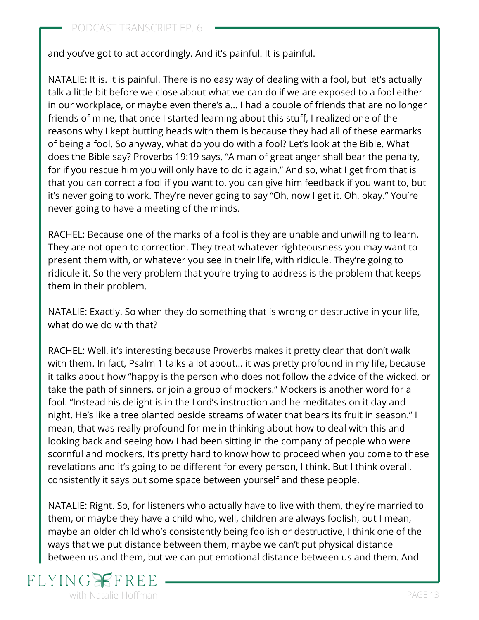and you've got to act accordingly. And it's painful. It is painful.

NATALIE: It is. It is painful. There is no easy way of dealing with a fool, but let's actually talk a little bit before we close about what we can do if we are exposed to a fool either in our workplace, or maybe even there's a… I had a couple of friends that are no longer friends of mine, that once I started learning about this stuff, I realized one of the reasons why I kept butting heads with them is because they had all of these earmarks of being a fool. So anyway, what do you do with a fool? Let's look at the Bible. What does the Bible say? Proverbs 19:19 says, "A man of great anger shall bear the penalty, for if you rescue him you will only have to do it again." And so, what I get from that is that you can correct a fool if you want to, you can give him feedback if you want to, but it's never going to work. They're never going to say "Oh, now I get it. Oh, okay." You're never going to have a meeting of the minds.

RACHEL: Because one of the marks of a fool is they are unable and unwilling to learn. They are not open to correction. They treat whatever righteousness you may want to present them with, or whatever you see in their life, with ridicule. They're going to ridicule it. So the very problem that you're trying to address is the problem that keeps them in their problem.

NATALIE: Exactly. So when they do something that is wrong or destructive in your life, what do we do with that?

RACHEL: Well, it's interesting because Proverbs makes it pretty clear that don't walk with them. In fact, Psalm 1 talks a lot about… it was pretty profound in my life, because it talks about how "happy is the person who does not follow the advice of the wicked, or take the path of sinners, or join a group of mockers." Mockers is another word for a fool. "Instead his delight is in the Lord's instruction and he meditates on it day and night. He's like a tree planted beside streams of water that bears its fruit in season." I mean, that was really profound for me in thinking about how to deal with this and looking back and seeing how I had been sitting in the company of people who were scornful and mockers. It's pretty hard to know how to proceed when you come to these revelations and it's going to be different for every person, I think. But I think overall, consistently it says put some space between yourself and these people.

NATALIE: Right. So, for listeners who actually have to live with them, they're married to them, or maybe they have a child who, well, children are always foolish, but I mean, maybe an older child who's consistently being foolish or destructive, I think one of the ways that we put distance between them, maybe we can't put physical distance between us and them, but we can put emotional distance between us and them. And

### $FI.YIN$ with Natalie Hoffman **PAGE 13**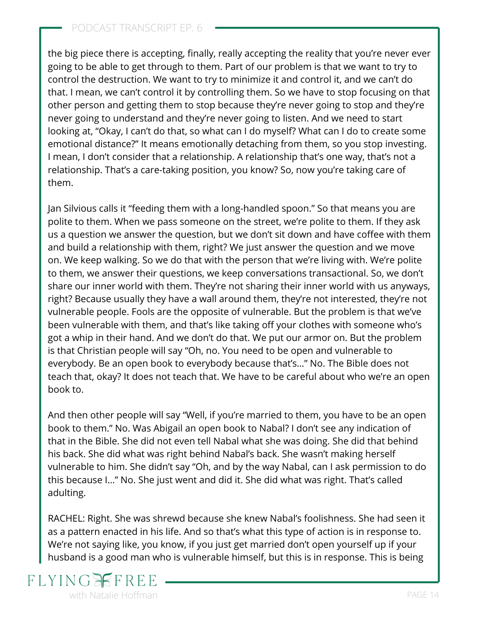### PODCAST TRANSCRIPT EP. 6

the big piece there is accepting, finally, really accepting the reality that you're never ever going to be able to get through to them. Part of our problem is that we want to try to control the destruction. We want to try to minimize it and control it, and we can't do that. I mean, we can't control it by controlling them. So we have to stop focusing on that other person and getting them to stop because they're never going to stop and they're never going to understand and they're never going to listen. And we need to start looking at, "Okay, I can't do that, so what can I do myself? What can I do to create some emotional distance?" It means emotionally detaching from them, so you stop investing. I mean, I don't consider that a relationship. A relationship that's one way, that's not a relationship. That's a care-taking position, you know? So, now you're taking care of them.

Jan Silvious calls it "feeding them with a long-handled spoon." So that means you are polite to them. When we pass someone on the street, we're polite to them. If they ask us a question we answer the question, but we don't sit down and have coffee with them and build a relationship with them, right? We just answer the question and we move on. We keep walking. So we do that with the person that we're living with. We're polite to them, we answer their questions, we keep conversations transactional. So, we don't share our inner world with them. They're not sharing their inner world with us anyways, right? Because usually they have a wall around them, they're not interested, they're not vulnerable people. Fools are the opposite of vulnerable. But the problem is that we've been vulnerable with them, and that's like taking off your clothes with someone who's got a whip in their hand. And we don't do that. We put our armor on. But the problem is that Christian people will say "Oh, no. You need to be open and vulnerable to everybody. Be an open book to everybody because that's…" No. The Bible does not teach that, okay? It does not teach that. We have to be careful about who we're an open book to.

And then other people will say "Well, if you're married to them, you have to be an open book to them." No. Was Abigail an open book to Nabal? I don't see any indication of that in the Bible. She did not even tell Nabal what she was doing. She did that behind his back. She did what was right behind Nabal's back. She wasn't making herself vulnerable to him. She didn't say "Oh, and by the way Nabal, can I ask permission to do this because I…" No. She just went and did it. She did what was right. That's called adulting.

RACHEL: Right. She was shrewd because she knew Nabal's foolishness. She had seen it as a pattern enacted in his life. And so that's what this type of action is in response to. We're not saying like, you know, if you just get married don't open yourself up if your husband is a good man who is vulnerable himself, but this is in response. This is being

### FLYIN<sub>(</sub> with Natalie Hoffman **PAGE 14** and 2008 **PAGE 14**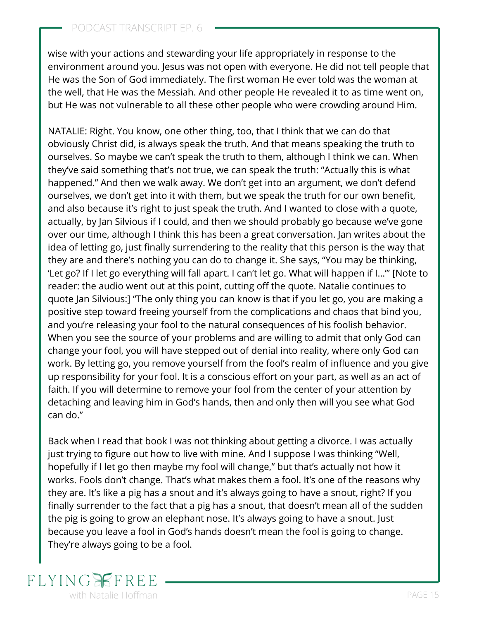FLYINGEFR

wise with your actions and stewarding your life appropriately in response to the environment around you. Jesus was not open with everyone. He did not tell people that He was the Son of God immediately. The first woman He ever told was the woman at the well, that He was the Messiah. And other people He revealed it to as time went on, but He was not vulnerable to all these other people who were crowding around Him.

NATALIE: Right. You know, one other thing, too, that I think that we can do that obviously Christ did, is always speak the truth. And that means speaking the truth to ourselves. So maybe we can't speak the truth to them, although I think we can. When they've said something that's not true, we can speak the truth: "Actually this is what happened." And then we walk away. We don't get into an argument, we don't defend ourselves, we don't get into it with them, but we speak the truth for our own benefit, and also because it's right to just speak the truth. And I wanted to close with a quote, actually, by Jan Silvious if I could, and then we should probably go because we've gone over our time, although I think this has been a great conversation. Jan writes about the idea of letting go, just finally surrendering to the reality that this person is the way that they are and there's nothing you can do to change it. She says, "You may be thinking, 'Let go? If I let go everything will fall apart. I can't let go. What will happen if I…'" [Note to reader: the audio went out at this point, cutting off the quote. Natalie continues to quote Jan Silvious:] "The only thing you can know is that if you let go, you are making a positive step toward freeing yourself from the complications and chaos that bind you, and you're releasing your fool to the natural consequences of his foolish behavior. When you see the source of your problems and are willing to admit that only God can change your fool, you will have stepped out of denial into reality, where only God can work. By letting go, you remove yourself from the fool's realm of influence and you give up responsibility for your fool. It is a conscious effort on your part, as well as an act of faith. If you will determine to remove your fool from the center of your attention by detaching and leaving him in God's hands, then and only then will you see what God can do."

Back when I read that book I was not thinking about getting a divorce. I was actually [just trying to figure out how to live with mine](https://www.flyingfreenow.com/122/). And I suppose I was thinking "Well, hopefully if I let go then maybe my fool will change," but that's actually not how it works. Fools don't change. That's what makes them a fool. It's one of the reasons why they are. It's like a pig has a snout and it's always going to have a snout, right? If you finally surrender to the fact that a pig has a snout, that doesn't mean all of the sudden the pig is going to grow an elephant nose. It's always going to have a snout. Just because you leave a fool in God's hands doesn't mean the fool is going to change. They're always going to be a fool.